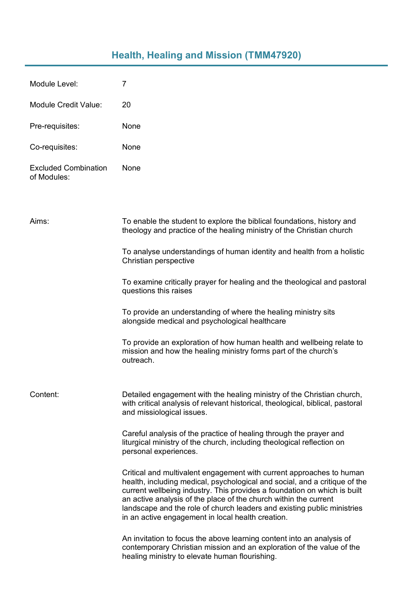## **Health, Healing and Mission (TMM47920)**

| Module Level:                       | 7    |
|-------------------------------------|------|
| Module Credit Value:                | 20   |
| Pre-requisites:                     | None |
| Co-requisites:                      | None |
| Excluded Combination<br>of Modules: | None |

| Aims:    | To enable the student to explore the biblical foundations, history and<br>theology and practice of the healing ministry of the Christian church                                                                                                                                                                                                                                                                                    |
|----------|------------------------------------------------------------------------------------------------------------------------------------------------------------------------------------------------------------------------------------------------------------------------------------------------------------------------------------------------------------------------------------------------------------------------------------|
|          | To analyse understandings of human identity and health from a holistic<br>Christian perspective                                                                                                                                                                                                                                                                                                                                    |
|          | To examine critically prayer for healing and the theological and pastoral<br>questions this raises                                                                                                                                                                                                                                                                                                                                 |
|          | To provide an understanding of where the healing ministry sits<br>alongside medical and psychological healthcare                                                                                                                                                                                                                                                                                                                   |
|          | To provide an exploration of how human health and wellbeing relate to<br>mission and how the healing ministry forms part of the church's<br>outreach.                                                                                                                                                                                                                                                                              |
| Content: | Detailed engagement with the healing ministry of the Christian church,<br>with critical analysis of relevant historical, theological, biblical, pastoral<br>and missiological issues.                                                                                                                                                                                                                                              |
|          | Careful analysis of the practice of healing through the prayer and<br>liturgical ministry of the church, including theological reflection on<br>personal experiences.                                                                                                                                                                                                                                                              |
|          | Critical and multivalent engagement with current approaches to human<br>health, including medical, psychological and social, and a critique of the<br>current wellbeing industry. This provides a foundation on which is built<br>an active analysis of the place of the church within the current<br>landscape and the role of church leaders and existing public ministries<br>in an active engagement in local health creation. |
|          | An invitation to focus the above learning content into an analysis of<br>contemporary Christian mission and an exploration of the value of the<br>healing ministry to elevate human flourishing.                                                                                                                                                                                                                                   |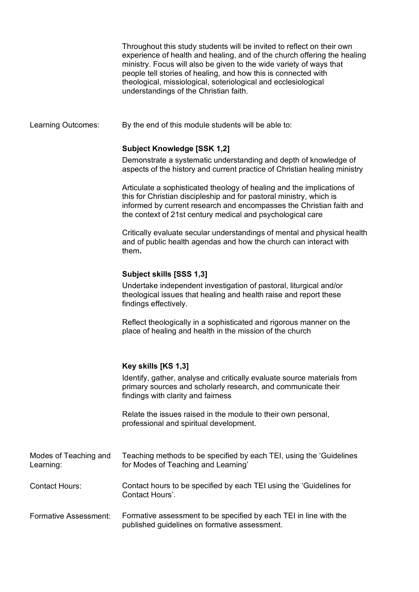|                                    | Throughout this study students will be invited to reflect on their own<br>experience of health and healing, and of the church offering the healing<br>ministry. Focus will also be given to the wide variety of ways that<br>people tell stories of healing, and how this is connected with<br>theological, missiological, soteriological and ecclesiological<br>understandings of the Christian faith. |
|------------------------------------|---------------------------------------------------------------------------------------------------------------------------------------------------------------------------------------------------------------------------------------------------------------------------------------------------------------------------------------------------------------------------------------------------------|
| Learning Outcomes:                 | By the end of this module students will be able to:                                                                                                                                                                                                                                                                                                                                                     |
|                                    | <b>Subject Knowledge [SSK 1,2]</b><br>Demonstrate a systematic understanding and depth of knowledge of                                                                                                                                                                                                                                                                                                  |
|                                    | aspects of the history and current practice of Christian healing ministry                                                                                                                                                                                                                                                                                                                               |
|                                    | Articulate a sophisticated theology of healing and the implications of<br>this for Christian discipleship and for pastoral ministry, which is<br>informed by current research and encompasses the Christian faith and<br>the context of 21st century medical and psychological care                                                                                                                     |
|                                    | Critically evaluate secular understandings of mental and physical health<br>and of public health agendas and how the church can interact with<br>them.                                                                                                                                                                                                                                                  |
|                                    | Subject skills [SSS 1,3]                                                                                                                                                                                                                                                                                                                                                                                |
|                                    | Undertake independent investigation of pastoral, liturgical and/or<br>theological issues that healing and health raise and report these<br>findings effectively.                                                                                                                                                                                                                                        |
|                                    | Reflect theologically in a sophisticated and rigorous manner on the<br>place of healing and health in the mission of the church                                                                                                                                                                                                                                                                         |
|                                    | Key skills [KS 1,3]                                                                                                                                                                                                                                                                                                                                                                                     |
|                                    | Identify, gather, analyse and critically evaluate source materials from<br>primary sources and scholarly research, and communicate their<br>findings with clarity and fairness                                                                                                                                                                                                                          |
|                                    | Relate the issues raised in the module to their own personal,<br>professional and spiritual development.                                                                                                                                                                                                                                                                                                |
| Modes of Teaching and<br>Learning: | Teaching methods to be specified by each TEI, using the 'Guidelines<br>for Modes of Teaching and Learning'                                                                                                                                                                                                                                                                                              |
| <b>Contact Hours:</b>              | Contact hours to be specified by each TEI using the 'Guidelines for<br>Contact Hours'.                                                                                                                                                                                                                                                                                                                  |
| <b>Formative Assessment:</b>       | Formative assessment to be specified by each TEI in line with the<br>published guidelines on formative assessment.                                                                                                                                                                                                                                                                                      |